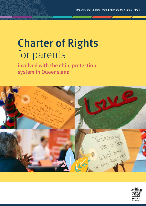# Charter of Rights for parents

involved with the child protection system in Queensland



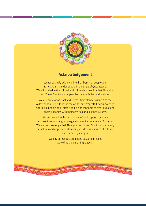

# **Acknowledgement**

We respectfully acknowledge the Aboriginal people and Torres Strait Islander people in the State of Queensland. We acknowledge the cultural and spiritual connection that Aboriginal and Torres Strait Islander peoples have with the land and sea.

We celebrate Aboriginal and Torres Strait Islander cultures as the oldest continuing cultures in the world, and respectfully acknowledge Aboriginal people and Torres Strait Islander people as two unique and diverse peoples with their own rich and distinct cultures.

We acknowledge the importance of, and support, ongoing connections to family, language, community, culture, and Country. We also acknowledge that Aboriginal and Torres Strait Islander family structures and approaches to raising children is a source of cultural and parenting strength.

> We pay our respects to Elders past and present as well as the emerging leaders.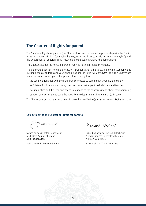# **The Charter of Rights for parents**

The Charter of Rights for parents (the Charter) has been developed in partnership with the Family Inclusion Network (FIN) of Queensland, the Queensland Parents' Advisory Committee (QPAC) and the Department of Children, Youth Justice and Multicultural Affairs (the department).

The Charter sets out the rights of parents involved in child protection matters.

The paramount concern for child protection in Queensland is the safety, belonging, wellbeing and cultural needs of children and young people as per the Child Protection Act 1999. This Charter has been developed to recognise that parents have the right to:

- life-long relationships with their children connected to community, Country, and culture
- self-determination and autonomy over decisions that impact their children and families
- natural justice and the time and space to respond to the concerns made about their parenting
- support services that decrease the need for the department's intervention (s5B, s159).

The Charter sets out the rights of parents in accordance with the Queensland Human Rights Act 2019.

#### **Commitment to the Charter of Rights for parents**

Signed on behalf of the Department of Children, Youth Justice and Multicultural Affairs

Deidre Mulkerin, Director-General

Karen Walson

Signed on behalf of the Family Inclusion Network and the Queensland Parents' Advisory Committee

Karyn Walsh, CEO Micah Projects

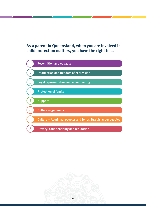# **As a parent in Queensland, when you are involved in child protection matters, you have the right to …**



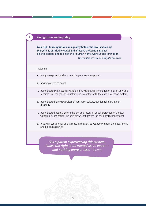# **Recognition and equality**

**Your right to recognition and equality before the law (section 15)** Everyone is entitled to equal and effective protection against discrimination, and to enjoy their human rights without discrimination. Queensland's Human Rights Act 2019

#### Including:

- 1. being recognised and respected in your role as a parent
- 2. having your voice heard
- 3. being treated with courtesy and dignity, without discrimination or bias of any kind regardless of the reason your family is in contact with the child protection system
- 4. being treated fairly regardless of your race, culture, gender, religion, age or disability
- 5. being treated equally before the law and receiving equal protection of the law without discrimination, including laws that govern the child protection system
- 6. receiving consistency and fairness in the service you receive from the department and funded agencies.

"As a parent experiencing this system, I have the right to be treated as an equal and nothing more or less." (Parent)

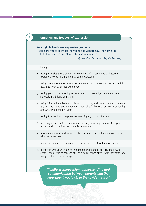

# **Your right to freedom of expression (section 21)**

People are free to say what they think and want to say. They have the right to find, receive and share information and ideas.

Queensland's Human Rights Act 2019

Including:

- 1. having the allegations of harm, the outcome of assessments and actions explained to you in language that you understand
- 2. being given information about the process that is, what you need to do right now, and what all parties will do next
- 3. having your concerns and questions heard, acknowledged and considered seriously in all decision-making
- 4. being informed regularly about how your child is, and more urgently if there are any important updates or changes in your child's life (such as health, schooling and where your child is living)
- 5. having the freedom to express feelings of grief, loss and trauma
- 6. receiving all information from formal meetings in writing, in a way that you understand and within a reasonable timeframe
- 7. having easy access to documents about your personal affairs and your contact with the department
- 8. being able to make a complaint or raise a concern without fear of reprisal
- 9. being told who your child's case manager and team leader are, and how to contact them, who to contact if there is no response after several attempts, and being notified if these change.

"I believe compassion, understanding and communication between parents and the department would close the divide." (Parent)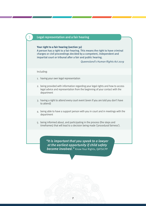### Legal representation and a fair hearing

### **Your right to a fair hearing (section 31)**

A person has a right to a fair hearing. This means the right to have criminal charges or civil proceedings decided by a competent, independent and impartial court or tribunal after a fair and public hearing.

Queensland's Human Rights Act 2019

#### Including:

- 1. having your own legal representation
- 2. being provided with information regarding your legal rights and how to access legal advice and representation from the beginning of your contact with the department
- 3. having a right to attend every court event (even if you are told you don't have to attend)
- 4. being able to have a support person with you in court and in meetings with the department
- 5. being informed about, and participating in the process (the steps and timeframes) that will lead to a decision being made ('procedural fairness').

"It is important that you speak to a lawyer at the earliest opportunity if child safety **become involved."** Know Your Rights, QATSICPP

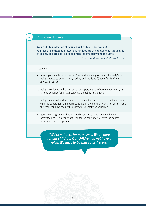### **Protection of family**

**Your right to protection of families and children (section 26)** Families are entitled to protection. Families are the fundamental group unit of society and are entitled to be protected by society and the State.

Queensland's Human Rights Act 2019

#### Including:

- 1. having your family recognised as 'the fundamental group unit of society' and being entitled to protection by society and the State (Queensland's Human Rights Act 2019)
- 2. being provided with the best possible opportunities to have contact with your child to continue forging a positive and healthy relationship
- 3. being recognised and respected as a protective parent you may be involved with the department but not responsible for the harm to your child. When that is the case, you have the right to safety for yourself and your child
- 4. acknowledging childbirth is a sacred experience bonding (including breastfeeding) is an important time for the child and you have the right to fully experience it together.

"We're not here for ourselves. We're here for our children. Our children do not have a voice. We have to be that voice." (Parent)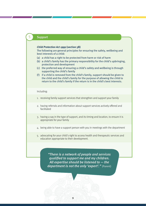# **Support**

### **Child Protection Act 1999 (section 5B)**

The following are general principles for ensuring the safety, wellbeing and best interests of a child:

- (a) a child has a right to be protected from harm or risk of harm
- (b) a child's family has the primary responsibility for the child's upbringing, protection and development
- (c) the preferred way of ensuring a child's safety and wellbeing is through supporting the child's family
- (f) if a child is removed from the child's family, support should be given to the child and the child's family for the purpose of allowing the child to return to the child's family if the return is in the child's best interests.

#### Including:

- 1. receiving family support services that strengthen and support your family
- 2. having referrals and information about support services actively offered and facilitated
- 3. having a say in the type of support, and its timing and location, to ensure it is appropriate for your family
- 4. being able to have a support person with you in meetings with the department
- 5. advocating for your child's right to access health and therapeutic services and education appropriate to their development.

"There is a network of people and services qualified to support me and my children. All expertise should be listened to — the department is not the only 'expert'." (Parent)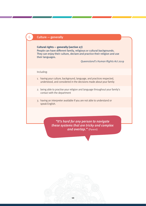# $6$  Culture – generally

### **Cultural rights — generally (section 27)**

People can have different family, religious or cultural backgrounds. They can enjoy their culture, declare and practice their religion and use their languages.

Queensland's Human Rights Act 2019

### Including:

- 1. having your culture, background, language, and practices respected, understood, and considered in the decisions made about your family
- 2. being able to practise your religion and language throughout your family's contact with the department
- 3. having an interpreter available if you are not able to understand or speak English.

"It's hard for any person to navigate these systems that are tricky and complex and overlap." (Parent)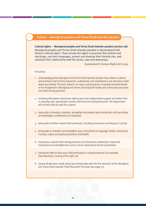## 7 Culture — Aboriginal peoples and Torres Strait Islander peoples

**Cultural rights — Aboriginal peoples and Torres Strait Islander peoples (section 28)** Aboriginal peoples and Torres Strait Islander peoples in Queensland hold distinct cultural rights. They include the rights to practise their beliefs and teachings, use their languages, protect and develop their kinship ties, and maintain their relationship with the lands, seas and waterways.

Queensland's Human Rights Act 2019

### Including:

- 1. acknowledging that Aboriginal and Torres Strait Islander peoples have distinct cultures and practices that must be respected, understood, and considered in any decisions made about your family. The term 'parent' can mean cultural parent, including extended family or kin recognised in Aboriginal and Torres Strait Islander family and community structures and child rearing practices
- 2. receiving information about your right to your own independent support and advice that is culturally safe, appropriate, trauma informed and healing focussed. The department will actively help you get this support
- 3. being able to develop, maintain, strengthen and protect your kinship ties and have these acknowledged, understood and respected
- 4. being able to follow cultural birth protocols, including ceremonies and being on Country
- 5. being able to maintain and strengthen your connections to language, family, community, Country, culture and spiritual practices and beliefs
- 6. having your cultural child rearing practices and structures understood, respected, maintained and strengthened, and to not be subjected to forced assimilation
- 7. having the right to have your child participate in cultural protocols, for example, Sorry Business, Coming of the Light, etc
- 8. having all decisions made about your family align with the five elements of the Aboriginal and Torres Strait Islander Child Placement Principle (see page 12).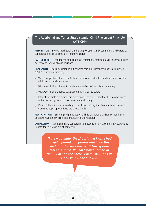# The Aboriginal and Torres Strait Islander Child Placement Principle (ATSICPP)

**PREVENTION** — Protecting children's rights to grow up in family, community and culture by supporting families to care safely for their children.

**PARTNERSHIP** — Ensuring the participation of community representatives in service design, delivery and individual case decisions.

**PLACEMENT** — Placing children in out-of-home care in accordance with the established ATSICPP placement hierarchy:

- 1. With Aboriginal and Torres Strait Islander relatives or extended family members, or other relatives and family members.
- 2. With Aboriginal and Torres Strait Islander members of the child's community.
- 3. With Aboriginal and Torres Strait Islander family-based carers.
- 4. If the above preferred options are not available, as a last resort the child may be placed with a non-Indigenous carer or in a residential setting.
- 5. If the child is not placed according to the highest priority, the placement must be within close geographic proximity to the child's family.

**PARTICIPATION** — Ensuring the participation of children, parents and family members in decisions regarding the care and protection of their children.

**CONNECTION** — Maintaining and supporting connections to family, community, culture and Country for children in out-of-home care.

> "I grew up under the [Aborigines] Act. I had to get a permit and permission to do this and that. To cross the road! This system feels the same. I'm not 'grandmother' or 'nan'. I'm not 'the carer'. I'm Mum! That's it! **Finalise it. Done."** (Parent)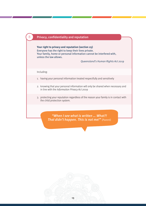# 8 **Privacy, confidentiality and reputation**

**Your right to privacy and reputation (section 25)** Everyone has the right to keep their lives private. Your family, home or personal information cannot be interfered with, unless the law allows.

Queensland's Human Rights Act 2019

Including:

- 1. having your personal information treated respectfully and sensitively
- 2. knowing that your personal information will only be shared when necessary and in line with the Information Privacy Act 2009
- 3. protecting your reputation regardless of the reason your family is in contact with the child protection system.

"When I see what is written … What?! That didn't happen. This is not me!" (Parent)

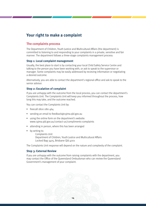# **Your right to make a complaint**

## **The complaints process**

The Department of Children, Youth Justice and Multicultural Affairs (the department) is committed to listening to and responding to your complaints in a private, sensitive and fair manner. The department follows a three-stage complaints management process:

### **Step 1: Local complaint management**

Usually, the best place to start is by contacting your local Child Safety Service Centre and talking to the person you have been working with, or ask to speak to the supervisor or manager. Some complaints may be easily addressed by recieving information or negotiating a desired outcome.

Alternatively, you are able to contact the department's regional office and ask to speak to the senior advisor.

### **Step 2: Escalation of complaint**

If you are unhappy with the outcome from the local process, you can contact the department's Complaints Unit. The Complaints Unit will keep you informed throughout the process, how long this may take, and the outcome reached.

You can contact the Complaints Unit by:

- $\cdot$  freecall 1800 080 464
- sending an email to feedback@cyjma.qld.gov.au
- using the online form on the department's website: [www.cyjma.qld.gov.au/contact-us/compliments-complaints](http://www.cyjma.qld.gov.au/contact-us/compliments-complaints)
- attending in person, where this has been arranged
- by writing to:

Complaints Unit Department of Children, Youth Justice and Multicultural Affairs Locked Bag 3405, Brisbane Qld 4001

The Complaints Unit response will depend on the nature and complexity of the complaint.

### **Step 3: External Review**

If you are unhappy with the outcome from raising complaints with the department, you may contact the Office of the Queensland Ombudsman who can review the Queensland Government's management of your complaint.

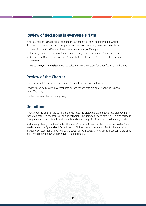# **Review of decisions is everyone's right**

When a decision is made about contact or placement you must be informed in writing. If you want to have your contact or placement decision reviewed, there are three steps:

- 1. Speak to your Child Safety Officer, Team Leader and/or Manager
- 2. Formally request a review of the decision through the department's Complaints Unit
- 3. Contact the Queensland Civil and Administrative Tribunal (QCAT) to have the decision reviewed.

**Go to the QCAT website:** [www.qcat.qld.gov.au/matter-types/children/parents-and-carers](http://www.qcat.qld.gov.au/matter-types/children/parents-and-carers)

# **Review of the Charter**

This Charter will be reviewed in 12 month's time from date of publishing.

Feedback can be provided by email info.fin@micahprojects.org.au or phone 3013 6030 by 30 May 2023.

The first review will occur in July 2023.

# **Definitions**

Throughout the Charter, the term 'parent' denotes the biological parent, legal guardian (with the exception of the chief executive) or cultural parent, including extended family or kin recognised in Aboriginal and Torres Strait Islander family and community structures, and child rearing practices.

Additionally, throughout the Charter, the terms 'the department' or 'child protection system' are used to mean the Queensland Department of Children, Youth Justice and Multicultural Affairs including contact that is governed by the Child Protection Act 1999. At times these terms are used interchangeably to align with the right it is referring to.

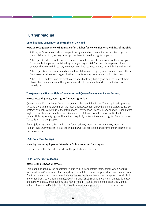# **Further reading**

#### **United Nations Convention on the Rights of the Child**

#### [www.unicef.org.au/our-work/information-for-children/un-convention-on-the-rights-of-the-child](http://www.unicef.org.au/our-work/information-for-children/un-convention-on-the-rights-of-the-child)

- Article  $5 -$  Governments should respect the rights and responsibilities of families to guide their children so that, as they grow up, they learn to use their rights properly.
- Article  $9$  Children should not be separated from their parents unless it is for their own good. For example, if a parent is mistreating or neglecting a child. Children whose parents have separated have the right to stay in contact with both parents, unless this might harm the child.
- Article 19 Governments should ensure that children are properly cared for and protect them from violence, abuse and neglect by their parents, or anyone else who looks after them.
- Article  $27$  Children have the right to a standard of living that is good enough to meet their physical and mental needs. The government should help families who cannot afford to provide this.

### **The Queensland Human Rights Commission and Queensland Human Rights Act 2019**

### [www.qhrc.qld.gov.au/your-rights/human-rights-law](http://www.qhrc.qld.gov.au/your-rights/human-rights-law)

Queensland's Human Rights Act 2019 protects 23 human rights in law. The Act primarily protects civil and political rights drawn from the International Covenant on Civil and Political Rights. It also protects two rights drawn from the International Covenant on Economic, Social and Cultural Rights (right to education and health services) and one right drawn from the Universal Declaration of Human Rights (property rights). The Act also explicitly protects the cultural rights of Aboriginal and Torres Strait Islander peoples.

From 1 July 2019, the Anti-Discrimination Commission Queensland became the Queensland Human Rights Commission. It also expanded its work to protecting and promoting the rights of all Queenslanders.

#### **Child Protection Act 1999**

#### [www.legislation.qld.gov.au/view/html/inforce/current/act-1999-010](http://www.legislation.qld.gov.au/view/html/inforce/current/act-1999-010)

The purpose of this Act is to provide for the protection of children.

#### **Child Safety Practice Manual**

#### <https://cspm.csyw.qld.gov.au/>

This manual is used by the department's staff to guide and inform their choices when working with families in Queensland. It includes forms, templates, resources, procedures and practice kits. Practice kits are used to inform workers how to work with families around things such as alcohol and other drugs, care arrangements, Aboriginal and Torres Strait Islander communities, domestic and family violence, breastfeeding and mental health. If you are unable to access this Manual online ask your Child Safety Officer to provide you with a paper copy of the relevant section.